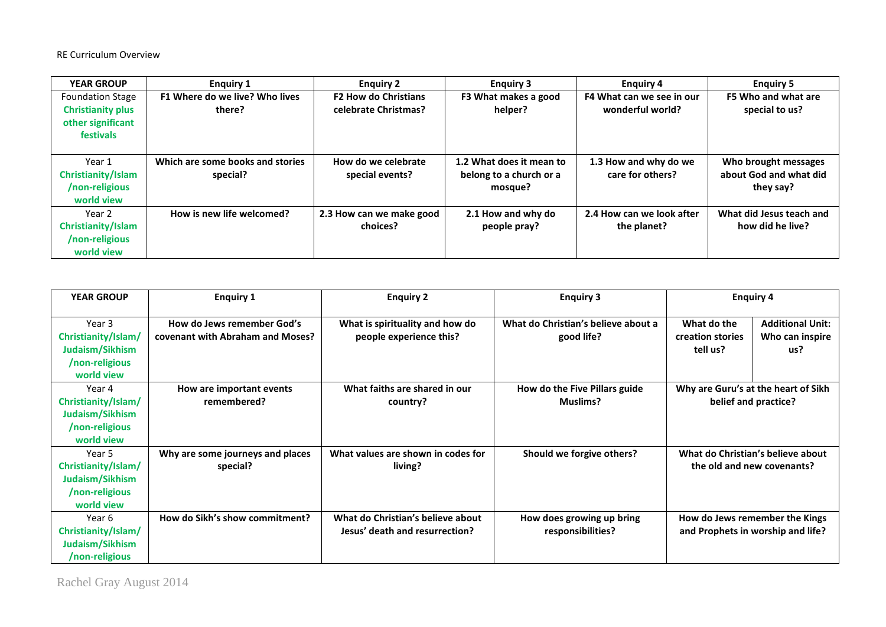RE Curriculum Overview

| <b>YEAR GROUP</b>        | <b>Enguiry 1</b>                 | <b>Enguiry 2</b>            | <b>Enguiry 3</b>         | <b>Enguiry 4</b>          | <b>Enguiry 5</b>         |
|--------------------------|----------------------------------|-----------------------------|--------------------------|---------------------------|--------------------------|
| <b>Foundation Stage</b>  | F1 Where do we live? Who lives   | <b>F2 How do Christians</b> | F3 What makes a good     | F4 What can we see in our | F5 Who and what are      |
| <b>Christianity plus</b> | there?                           | celebrate Christmas?        | helper?                  | wonderful world?          | special to us?           |
| other significant        |                                  |                             |                          |                           |                          |
| <b>festivals</b>         |                                  |                             |                          |                           |                          |
|                          |                                  |                             |                          |                           |                          |
| Year 1                   | Which are some books and stories | How do we celebrate         | 1.2 What does it mean to | 1.3 How and why do we     | Who brought messages     |
| Christianity/Islam       | special?                         | special events?             | belong to a church or a  | care for others?          | about God and what did   |
| /non-religious           |                                  |                             | mosque?                  |                           | they say?                |
| world view               |                                  |                             |                          |                           |                          |
| Year 2                   | How is new life welcomed?        | 2.3 How can we make good    | 2.1 How and why do       | 2.4 How can we look after | What did Jesus teach and |
| Christianity/Islam       |                                  | choices?                    | people pray?             | the planet?               | how did he live?         |
| /non-religious           |                                  |                             |                          |                           |                          |
| world view               |                                  |                             |                          |                           |                          |

| <b>YEAR GROUP</b>                                                                | <b>Enquiry 1</b>                                               | <b>Enquiry 2</b>                                                    | <b>Enguiry 3</b>                                  | <b>Enquiry 4</b>                                                    |                                                   |
|----------------------------------------------------------------------------------|----------------------------------------------------------------|---------------------------------------------------------------------|---------------------------------------------------|---------------------------------------------------------------------|---------------------------------------------------|
| Year 3<br>Christianity/Islam/<br>Judaism/Sikhism<br>/non-religious<br>world view | How do Jews remember God's<br>covenant with Abraham and Moses? | What is spirituality and how do<br>people experience this?          | What do Christian's believe about a<br>good life? | What do the<br>creation stories<br>tell us?                         | <b>Additional Unit:</b><br>Who can inspire<br>us? |
| Year 4<br>Christianity/Islam/<br>Judaism/Sikhism<br>/non-religious<br>world view | How are important events<br>remembered?                        | What faiths are shared in our<br>country?                           | How do the Five Pillars guide<br><b>Muslims?</b>  | Why are Guru's at the heart of Sikh<br>belief and practice?         |                                                   |
| Year 5<br>Christianity/Islam/<br>Judaism/Sikhism<br>/non-religious<br>world view | Why are some journeys and places<br>special?                   | What values are shown in codes for<br>living?                       | Should we forgive others?                         | What do Christian's believe about<br>the old and new covenants?     |                                                   |
| Year 6<br>Christianity/Islam/<br>Judaism/Sikhism<br>/non-religious               | How do Sikh's show commitment?                                 | What do Christian's believe about<br>Jesus' death and resurrection? | How does growing up bring<br>responsibilities?    | How do Jews remember the Kings<br>and Prophets in worship and life? |                                                   |